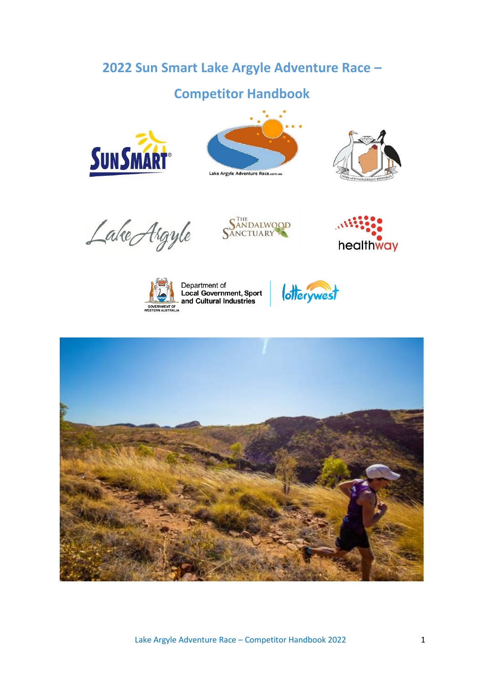# **2022 Sun Smart Lake Argyle Adventure Race –**

# **Competitor Handbook**







Lake Argyle







Department of<br>Local Government, Sport and Cultural Industries



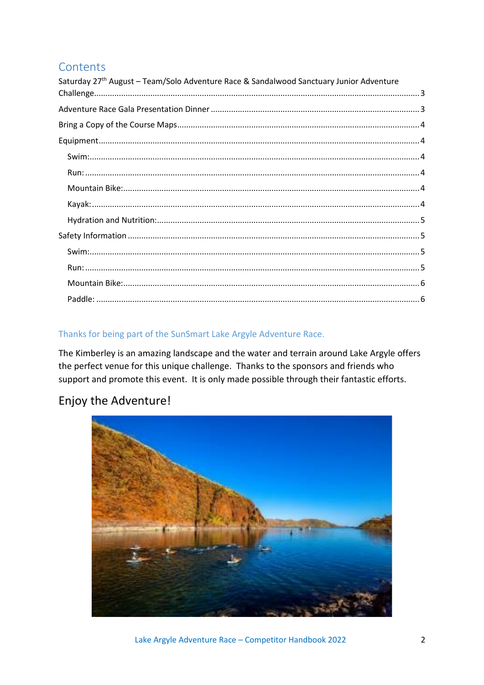## Contents

| Saturday 27th August - Team/Solo Adventure Race & Sandalwood Sanctuary Junior Adventure |  |
|-----------------------------------------------------------------------------------------|--|
|                                                                                         |  |
|                                                                                         |  |
|                                                                                         |  |
|                                                                                         |  |
|                                                                                         |  |
|                                                                                         |  |
|                                                                                         |  |
|                                                                                         |  |
|                                                                                         |  |
|                                                                                         |  |
|                                                                                         |  |
|                                                                                         |  |
|                                                                                         |  |
|                                                                                         |  |

## Thanks for being part of the SunSmart Lake Argyle Adventure Race.

The Kimberley is an amazing landscape and the water and terrain around Lake Argyle offers the perfect venue for this unique challenge. Thanks to the sponsors and friends who support and promote this event. It is only made possible through their fantastic efforts.

## Enjoy the Adventure!

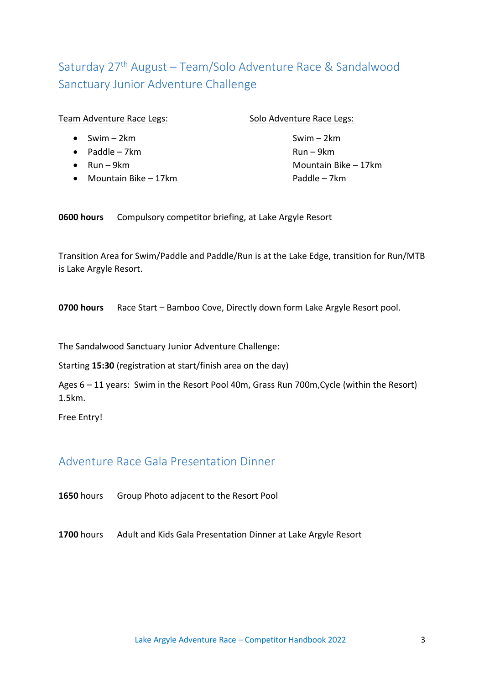# <span id="page-2-0"></span>Saturday 27<sup>th</sup> August – Team/Solo Adventure Race & Sandalwood Sanctuary Junior Adventure Challenge

| Team Adventure Race Legs: |  |
|---------------------------|--|
|                           |  |

•  $Swim - 2km$  Swim – 2km

• Paddle – 7km Run – 9km

- 
- Mountain Bike 17km

### Solo Adventure Race Legs:

• Run – 9km

**0600 hours** Compulsory competitor briefing, at Lake Argyle Resort

Transition Area for Swim/Paddle and Paddle/Run is at the Lake Edge, transition for Run/MTB is Lake Argyle Resort.

**0700 hours** Race Start – Bamboo Cove, Directly down form Lake Argyle Resort pool.

### The Sandalwood Sanctuary Junior Adventure Challenge:

Starting **15:30** (registration at start/finish area on the day)

Ages 6 – 11 years: Swim in the Resort Pool 40m, Grass Run 700m,Cycle (within the Resort) 1.5km.

Free Entry!

## <span id="page-2-1"></span>Adventure Race Gala Presentation Dinner

**1650** hours Group Photo adjacent to the Resort Pool

**1700** hours Adult and Kids Gala Presentation Dinner at Lake Argyle Resort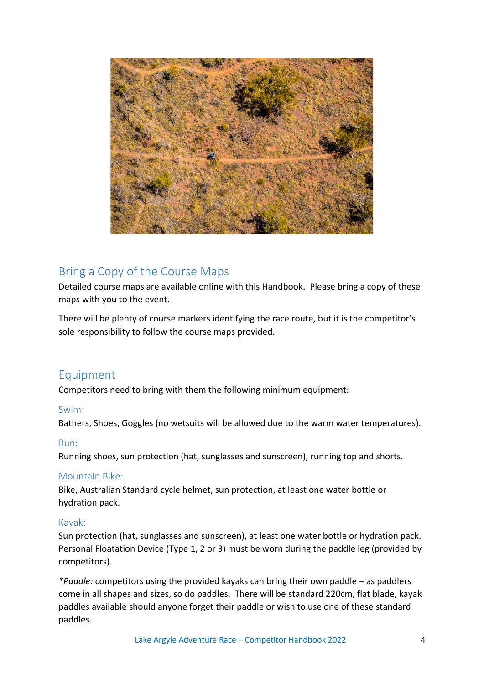

## <span id="page-3-0"></span>Bring a Copy of the Course Maps

Detailed course maps are available online with this Handbook. Please bring a copy of these maps with you to the event.

There will be plenty of course markers identifying the race route, but it is the competitor's sole responsibility to follow the course maps provided.

## <span id="page-3-1"></span>Equipment

Competitors need to bring with them the following minimum equipment:

## <span id="page-3-2"></span>Swim:

Bathers, Shoes, Goggles (no wetsuits will be allowed due to the warm water temperatures).

### <span id="page-3-3"></span>Run:

Running shoes, sun protection (hat, sunglasses and sunscreen), running top and shorts.

## <span id="page-3-4"></span>Mountain Bike:

Bike, Australian Standard cycle helmet, sun protection, at least one water bottle or hydration pack.

### <span id="page-3-5"></span>Kayak:

Sun protection (hat, sunglasses and sunscreen), at least one water bottle or hydration pack. Personal Floatation Device (Type 1, 2 or 3) must be worn during the paddle leg (provided by competitors).

*\*Paddle:* competitors using the provided kayaks can bring their own paddle – as paddlers come in all shapes and sizes, so do paddles. There will be standard 220cm, flat blade, kayak paddles available should anyone forget their paddle or wish to use one of these standard paddles.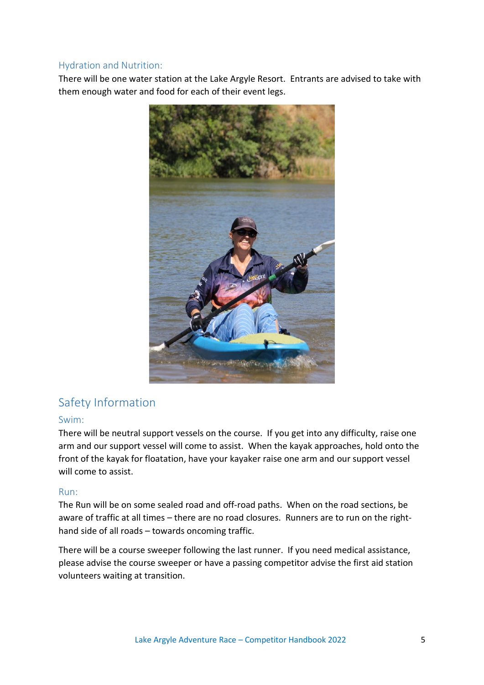### <span id="page-4-0"></span>Hydration and Nutrition:

There will be one water station at the Lake Argyle Resort. Entrants are advised to take with them enough water and food for each of their event legs.



## <span id="page-4-1"></span>Safety Information

### <span id="page-4-2"></span>Swim:

There will be neutral support vessels on the course. If you get into any difficulty, raise one arm and our support vessel will come to assist. When the kayak approaches, hold onto the front of the kayak for floatation, have your kayaker raise one arm and our support vessel will come to assist.

#### <span id="page-4-3"></span>Run:

The Run will be on some sealed road and off-road paths. When on the road sections, be aware of traffic at all times – there are no road closures. Runners are to run on the righthand side of all roads – towards oncoming traffic.

There will be a course sweeper following the last runner. If you need medical assistance, please advise the course sweeper or have a passing competitor advise the first aid station volunteers waiting at transition.